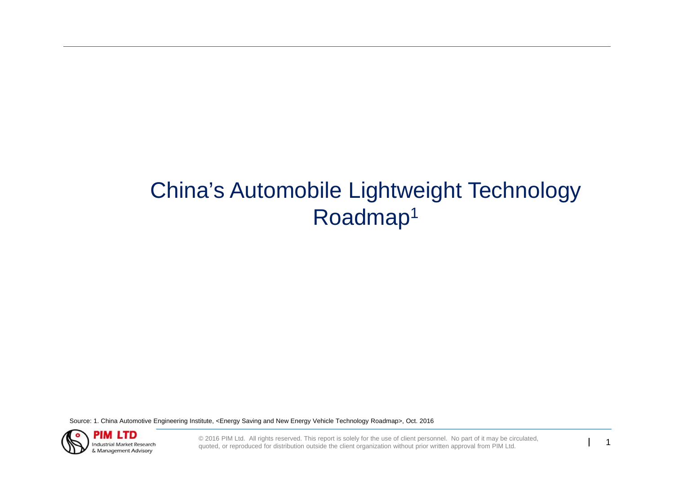# China's Automobile Lightweight Technology Roadmap1

Source: 1. China Automotive Engineering Institute, <Energy Saving and New Energy Vehicle Technology Roadmap>, Oct. 2016



© 2016 PIM Ltd. All rights reserved. This report is solely for the use of client personnel. No part of it may be circulated, quoted, or reproduced for distribution outside the client organization without prior written appr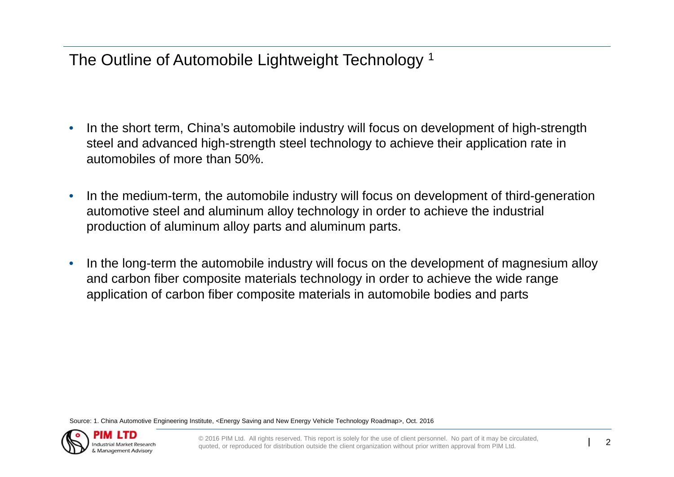The Outline of Automobile Lightweight Technology<sup>1</sup>

- • In the short term, China's automobile industry will focus on development of high-strength steel and advanced high-strength steel technology to achieve their application rate in automobiles of more than 50%.
- • In the medium-term, the automobile industry will focus on development of third-generation automotive steel and aluminum alloy technology in order to achieve the industrial production of aluminum alloy parts and aluminum parts.
- • In the long-term the automobile industry will focus on the development of magnesium alloy and carbon fiber composite materials technology in order to achieve the wide range application of carbon fiber composite materials in automobile bodies and parts

Source: 1. China Automotive Engineering Institute, <Energy Saving and New Energy Vehicle Technology Roadmap>, Oct. 2016

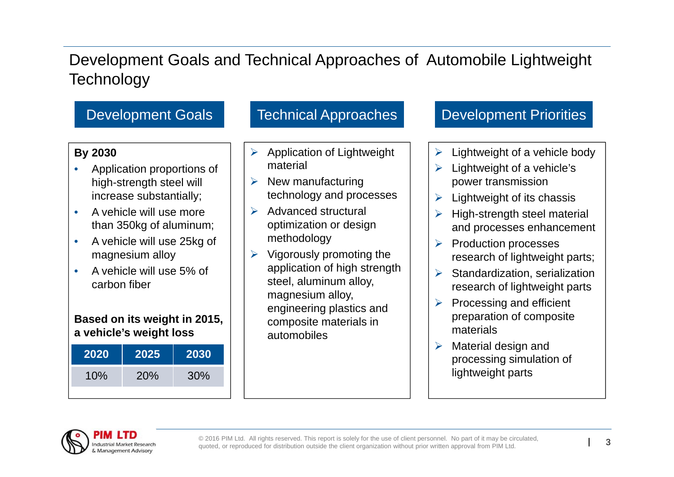## Development Goals and Technical Approaches of Automobile Lightweight **Technology**

### **By 2030**

- • Application proportions of high-strength steel will increase substantially;
- • A vehicle will use more than 350kg of aluminum;
- • A vehicle will use 25kg of magnesium alloy
- • A vehicle will use 5% of carbon fiber

### **Based on its weight in 2015, a vehicle's weight loss**

| 2020 | 2025 | 2030 |
|------|------|------|
| 10%  | 20%  | 30%  |
|      |      |      |

- $\blacktriangleright$  Application of Lightweight material
- $\triangleright$  New manufacturing technology and processes
- $\triangleright$  Advanced structural optimization or design methodology
- $\triangleright$  Vigorously promoting the application of high strength steel, aluminum alloy, magnesium alloy, engineering plastics and composite materials in automobiles

### Development Goals Technical Approaches Development Priorities

- $\blacktriangleright$ Lightweight of a vehicle body
- $\blacktriangleright$  Lightweight of a vehicle's power transmission
- $\blacktriangleright$ Lightweight of its chassis
- $\blacktriangleright$  High-strength steel material and processes enhancement
- $\blacktriangleright$  Production processes research of lightweight parts;
- $\blacktriangleright$  Standardization, serialization research of lightweight parts
- $\blacktriangleright$  Processing and efficient preparation of composite materials
- ➤ Material design and processing simulation of lightweight parts

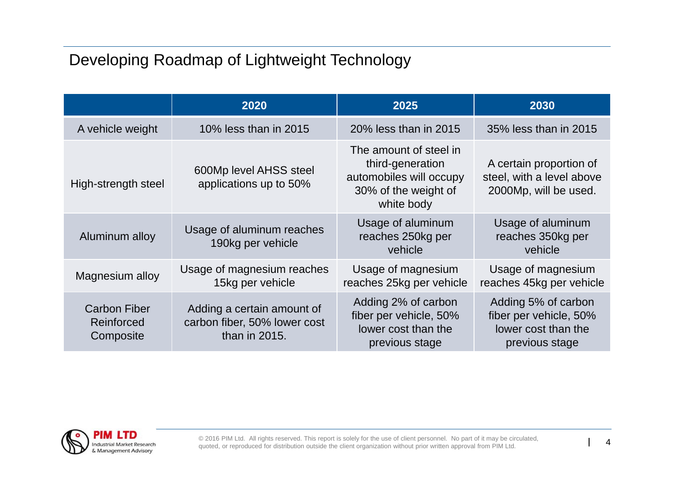## Developing Roadmap of Lightweight Technology

|                                                | 2020                                                                        | 2025                                                                                                        | 2030                                                                                   |
|------------------------------------------------|-----------------------------------------------------------------------------|-------------------------------------------------------------------------------------------------------------|----------------------------------------------------------------------------------------|
| A vehicle weight                               | 10% less than in 2015                                                       | 20% less than in 2015                                                                                       | 35% less than in 2015                                                                  |
| High-strength steel                            | 600Mp level AHSS steel<br>applications up to 50%                            | The amount of steel in<br>third-generation<br>automobiles will occupy<br>30% of the weight of<br>white body | A certain proportion of<br>steel, with a level above<br>2000Mp, will be used.          |
| Aluminum alloy                                 | Usage of aluminum reaches<br>190kg per vehicle                              | Usage of aluminum<br>reaches 250kg per<br>vehicle                                                           | Usage of aluminum<br>reaches 350kg per<br>vehicle                                      |
| Magnesium alloy                                | Usage of magnesium reaches<br>15kg per vehicle                              | Usage of magnesium<br>reaches 25kg per vehicle                                                              | Usage of magnesium<br>reaches 45kg per vehicle                                         |
| <b>Carbon Fiber</b><br>Reinforced<br>Composite | Adding a certain amount of<br>carbon fiber, 50% lower cost<br>than in 2015. | Adding 2% of carbon<br>fiber per vehicle, 50%<br>lower cost than the<br>previous stage                      | Adding 5% of carbon<br>fiber per vehicle, 50%<br>lower cost than the<br>previous stage |

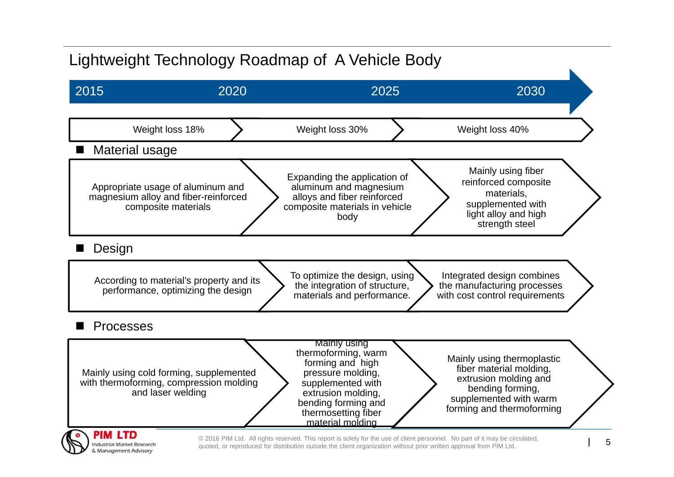## Lightweight Technology Roadmap of A Vehicle Body

& Management Advisory